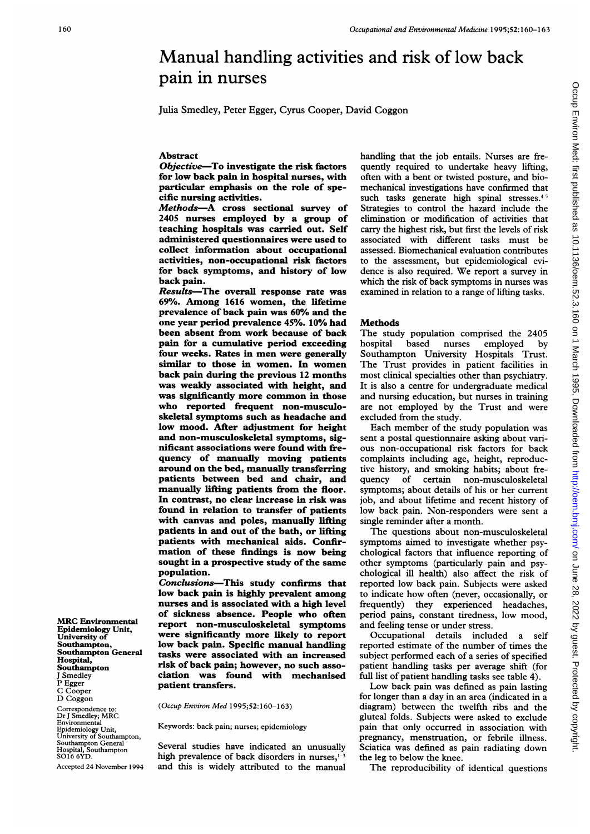# Manual handling activities and risk of low back pain in nurses

Julia Smedley, Peter Egger, Cyrus Cooper, David Coggon

#### Abstract

Objective-To investigate the risk factors for low back pain in hospital nurses, with particular emphasis on the role of specific nursing activities.

Methods-A cross sectional survey of 2405 nurses employed by a group of teaching hospitals was carried out. Self administered questionnaires were used to collect information about occupational activities, non-occupational risk factors for back symptoms, and history of low back pain.

Results-The overall response rate was 69%. Among <sup>1616</sup> women, the lifetime prevalence of back pain was 60% and the one year period prevalence 45%. 10% had been absent from work because of back pain for a cumulative period exceeding four weeks. Rates in men were generally similar to those in women. In women back pain during the previous 12 months was weakly associated with height, and was significantly more common in those who reported frequent non-musculoskeletal symptoms such as headache and low mood. After adjustment for height and non-musculoskeletal symptoms, significant associations were found with frequency of manually moving patients around on the bed, manually transferring patients between bed and chair, and manually lifting patients from the floor. In contrast, no clear increase in risk was found in relation to transfer of patients with canvas and poles, manually lifting patients in and out of the bath, or lifting patients with mechanical aids. Confirmation of these findings is now being sought in a prospective study of the same population.

Conclusions-This study confirms that low back pain is highly prevalent among nurses and is associated with a high level of sickness absence. People who often report non-musculoskeletal symptoms were significantly more likely to report low back pain. Specific manual handling tasks were associated with an increased risk of back pain; however, no such association was found with mechanised patient transfers.

(Occup Environ Med 1995;52:160-163)

Keywords: back pain; nurses; epidemiology

Several studies have indicated an unusually high prevalence of back disorders in nurses, $1-3$ and this is widely attributed to the manual handling that the job entails. Nurses are frequently required to undertake heavy lifting, often with a bent or twisted posture, and biomechanical investigations have confirmed that such tasks generate high spinal stresses.<sup>45</sup> Strategies to control the hazard include the elimination or modification of activities that carry the highest risk, but first the levels of risk associated with different tasks must be assessed. Biomechanical evaluation contributes to the assessment, but epidemiological evidence is also required. We report <sup>a</sup> survey in which the risk of back symptoms in nurses was examined in relation to a range of lifting tasks.

### **Methods**

The study population comprised the 2405 hospital based nurses employed by Southampton University Hospitals Trust. The Trust provides in patient facilities in most clinical specialties other than psychiatry. It is also a centre for undergraduate medical and nursing education, but nurses in training are not employed by the Trust and were excluded from the study.

Each member of the study population was sent a postal questionnaire asking about various non-occupational risk factors for back complaints including age, height, reproductive history, and smoking habits; about frequency of certain non-musculoskeletal symptoms; about details of his or her current job, and about lifetime and recent history of low back pain. Non-responders were sent a single reminder after a month.

The questions about non-musculoskeletal symptoms aimed to investigate whether psychological factors that influence reporting of other symptoms (particularly pain and psychological ill health) also affect the risk of reported low back pain. Subjects were asked to indicate how often (never, occasionally, or frequently) they experienced headaches, period pains, constant tiredness, low mood, and feeling tense or under stress.

Occupational details included a self reported estimate of the number of times the subject performed each of a series of specified patient handling tasks per average shift (for full list of patient handling tasks see table 4).

Low back pain was defined as pain lasting for longer than a day in an area (indicated in a diagram) between the twelfth ribs and the gluteal folds. Subjects were asked to exclude pain that only occurred in association with pregnancy, menstruation, or febrile illness. Sciatica was defined as pain radiating down the leg to below the knee.

The reproducibility of identical questions

MRC Environmental Epidemiology Unit, University of Southampton, Southampton General Hospital. Southampton J Smedley P Egger C Cooper D Coggon Correspondence to: Dr <sup>J</sup> Smedley; MRC Environmental Epidemiology Unit, University of Southampton, Southampton General Hospital, Southampton S016 6YD.

Accepted 24 November 1994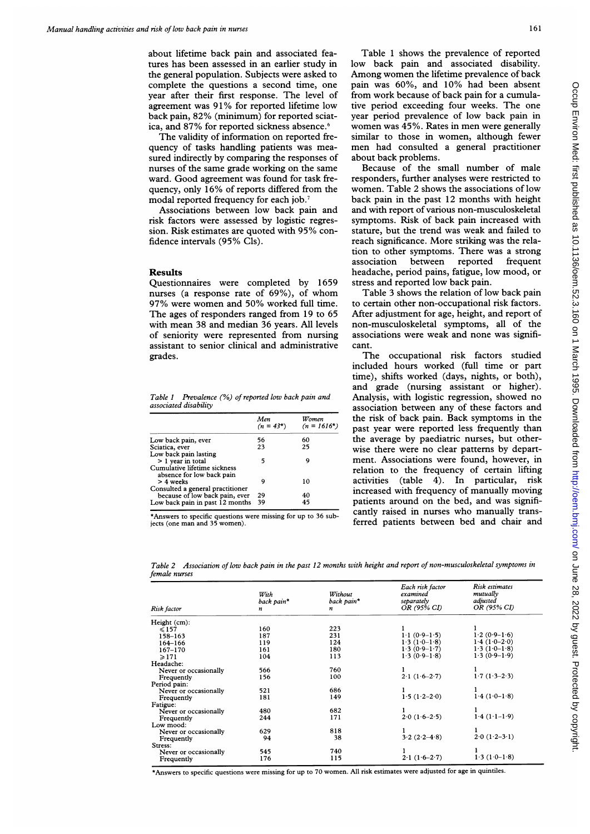about lifetime back pain and associated features has been assessed in an earlier study in the general population. Subjects were asked to complete the questions a second time, one year after their first response. The level of agreement was 91% for reported lifetime low back pain, 82% (minimum) for reported sciatica, and 87% for reported sickness absence.<sup>6</sup>

The validity of information on reported frequency of tasks handling patients was measured indirectly by comparing the responses of nurses of the same grade working on the same ward. Good agreement was found for task frequency, only 16% of reports differed from the modal reported frequency for each job.7

Associations between low back pain and risk factors were assessed by logistic regression. Risk estimates are quoted with 95% confidence intervals (95% Cls).

#### Results

Questionnaires were completed by 1659 nurses (a response rate of 69%), of whom 97% were women and 50% worked full time. The ages of responders ranged from 19 to 65 with mean 38 and median 36 years. All levels of seniority were represented from nursing assistant to senior clinical and administrative grades.

|                       | Table 1 Prevalence (%) of reported low back pain and |  |  |  |
|-----------------------|------------------------------------------------------|--|--|--|
| associated disability |                                                      |  |  |  |

|                                                                              | Men<br>$(n = 43^*)$ | Women<br>$(n = 1616^*)$ |
|------------------------------------------------------------------------------|---------------------|-------------------------|
| Low back pain, ever                                                          | 56                  | 60                      |
| Sciatica, ever                                                               | 23                  | 25                      |
| Low back pain lasting<br>> 1 year in total<br>Cumulative lifetime sickness   | 5                   | 9                       |
| absence for low back pain<br>$> 4$ weeks<br>Consulted a general practitioner | 9                   | 10                      |
| because of low back pain, ever                                               | 29                  | 40                      |
| Low back pain in past 12 months                                              | 39                  | 45                      |

\*Answers to specific questions were missing for up to 36 subjects (one man and 35 women).

Table <sup>1</sup> shows the prevalence of reported low back pain and associated disability. Among women the lifetime prevalence of back pain was 60%, and 10% had been absent from work because of back pain for a cumulative period exceeding four weeks. The one year period prevalence of low back pain in women was 45%. Rates in men were generally similar to those in women, although fewer men had consulted <sup>a</sup> general practitioner about back problems.

Because of the small number of male responders, further analyses were restricted to women. Table 2 shows the associations of low back pain in the past 12 months with height and with report of various non-musculoskeletal symptoms. Risk of back pain increased with stature, but the trend was weak and failed to reach significance. More striking was the relation to other symptoms. There was a strong association between reported frequent headache, period pains, fatigue, low mood, or stress and reported low back pain.

Table 3 shows the relation of low back pain to certain other non-occupational risk factors. After adjustment for age, height, and report of non-musculoskeletal symptoms, all of the associations were weak and none was significant.

The occupational risk factors studied included hours worked (full time or part time), shifts worked (days, nights, or both), and grade (nursing assistant or higher). Analysis, with logistic regression, showed no association between any of these factors and the risk of back pain. Back symptoms in the past year were reported less frequently than the average by paediatric nurses, but otherwise there were no clear patterns by department. Associations were found, however, in relation to the frequency of certain lifting activities (table 4). In particular, risk increased with frequency of manually moving patients around on the bed, and was significantly raised in nurses who manually transferred patients between bed and chair and

Table 2 Association of low back pain in the past 12 months with height and report of non-musculoskeletal symptoms in female nurses

| Risk factor           | With<br>back pain*<br>n | Without<br>back pain*<br>n | Each risk factor<br>examined<br>separately<br>OR (95% CI) | Risk estimates<br>mutually<br>adjusted<br>OR (95% CI) |
|-----------------------|-------------------------|----------------------------|-----------------------------------------------------------|-------------------------------------------------------|
| Height (cm):          |                         |                            |                                                           |                                                       |
| $\leq 157$            | 160                     | 223                        |                                                           |                                                       |
| $158 - 163$           | 187                     | 231                        | $1 \cdot 1$ (0.9-1.5)                                     | $1.2(0.9-1.6)$                                        |
| $164 - 166$           | 119                     | 124                        | $1.3(1.0-1.8)$                                            | $1.4(1.0-2.0)$                                        |
| $167 - 170$           | 161                     | 180                        | $1.3(0.9-1.7)$                                            | $1.3(1.0-1.8)$                                        |
| $\geq 171$            | 104                     | 113                        | $1.3(0.9-1.8)$                                            | $1.3(0.9-1.9)$                                        |
| Headache:             |                         |                            |                                                           |                                                       |
| Never or occasionally | 566                     | 760                        |                                                           |                                                       |
| Frequently            | 156                     | 100                        | $2.1(1.6-2.7)$                                            | $1.7(1.3-2.3)$                                        |
| Period pain:          |                         |                            |                                                           |                                                       |
| Never or occasionally | 521                     | 686                        |                                                           |                                                       |
| Frequently            | 181                     | 149                        | $1.5(1.2-2.0)$                                            | $1.4(1.0-1.8)$                                        |
| Fatigue:              |                         |                            |                                                           |                                                       |
| Never or occasionally | 480                     | 682                        |                                                           |                                                       |
| Frequently            | 244                     | 171                        | $2.0(1.6-2.5)$                                            | $1.4(1.1-1.9)$                                        |
| Low mood:             |                         |                            |                                                           |                                                       |
| Never or occasionally | 629                     | 818                        |                                                           |                                                       |
| Frequently            | 94                      | 38                         | $3.2(2.2-4.8)$                                            | $2.0(1.2-3.1)$                                        |
| Stress:               |                         |                            |                                                           |                                                       |
| Never or occasionally | 545                     | 740                        |                                                           |                                                       |
| Frequently            | 176                     | 115                        | $2.1(1.6-2.7)$                                            | $1.3(1.0-1.8)$                                        |

\*Answers to specific questions were missing for up to 70 women. All risk estimates were adjusted for age in quintiles.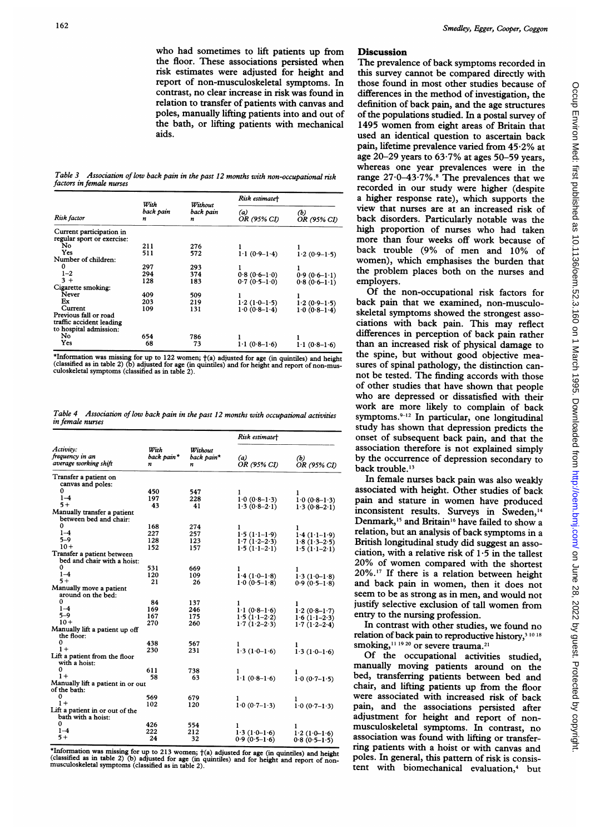who had sometimes to lift patients up from the floor. These associations persisted when risk estimates were adjusted for height and report of non-musculoskeletal symptoms. In contrast, no clear increase in risk was found in relation to transfer of patients with canvas and poles, manually lifting patients into and out of the bath, or lifting patients with mechanical aids.

Table 3 Association of low back pain in the past 12 months with non-occupational risk factors in female nurses

|                                                        | With           | Without        | Risk estimate+     |                    |  |
|--------------------------------------------------------|----------------|----------------|--------------------|--------------------|--|
| Risk factor                                            | back pain<br>n | back pain<br>n | (a)<br>OR (95% CI) | (b)<br>OR (95% CI) |  |
| Current participation in<br>regular sport or exercise: |                |                |                    |                    |  |
| No                                                     | 211            | 276            |                    |                    |  |
| Yes                                                    | 511            | 572            | $1.1(0.9-1.4)$     | $1.2(0.9-1.5)$     |  |
| Number of children:                                    |                |                |                    |                    |  |
| 0                                                      | 297            | 293            |                    |                    |  |
| $1 - 2$                                                | 294            | 374            | $0.8(0.6-1.0)$     | $0.9(0.6-1.1)$     |  |
| $3+$                                                   | 128            | 183            | $0.7(0.5-1.0)$     | $0.8(0.6-1.1)$     |  |
| Cigarette smoking:                                     |                |                |                    |                    |  |
| Never                                                  | 409            | 509            |                    |                    |  |
| Ex                                                     | 203            | 219            | $1.2(1.0-1.5)$     | $1.2(0.9-1.5)$     |  |
| Current                                                | 109            | 131            | $1.0(0.8-1.4)$     | $1.0(0.8-1.4)$     |  |
| Previous fall or road                                  |                |                |                    |                    |  |
| traffic accident leading<br>to hospital admission:     |                |                |                    |                    |  |
| No                                                     | 654            | 786            |                    |                    |  |
| Yes                                                    | 68             | 73             | $1.1(0.8-1.6)$     | $1.1(0.8-1.6)$     |  |

\*Information was missing for up to 122 women;  $\dagger$ (a) adjusted for age (in quintiles) and height (classified as in table 2) (b) adjusted for age (in quintiles) and for height and report of non-musculoskeletal symptoms (classified as in table 2).

Table 4 Association of low back pain in the past 12 months with occupational activities in female nurses

|                                                           |                         |                            | Risk estimate <sup>+</sup> |                    |  |
|-----------------------------------------------------------|-------------------------|----------------------------|----------------------------|--------------------|--|
| Activity:<br>frequency in an<br>average working shift     | With<br>back pain*<br>n | Without<br>back pain*<br>n | (a)<br>OR (95% CI)         | (b)<br>OR (95% CI) |  |
| Transfer a patient on<br>canvas and poles:                |                         |                            |                            |                    |  |
| 0                                                         | 450                     | 547                        | 1                          | 1                  |  |
| $1 - 4$                                                   | 197                     | 228                        | $1.0(0.8-1.3)$             | $1.0(0.8-1.3)$     |  |
| $5 +$                                                     | 43                      | 41                         | $1.3(0.8-2.1)$             | $1.3(0.8-2.1)$     |  |
| Manually transfer a patient<br>between bed and chair:     |                         |                            |                            |                    |  |
| 0                                                         | 168                     | 274                        | 1                          | 1                  |  |
| $1 - 4$                                                   | 227                     | 257                        | $1.5(1.1-1.9)$             | $1.4(1.1-1.9)$     |  |
| $5 - 9$                                                   | 128                     | 123                        | $1.7(1.2-2.3)$             | $1.8(1.3-2.5)$     |  |
| $10+$                                                     | 152                     | 157                        | $1.5(1.1-2.1)$             | $1.5(1.1-2.1)$     |  |
| Transfer a patient between<br>bed and chair with a hoist: |                         |                            |                            |                    |  |
| 0                                                         | 531                     | 669                        | 1                          | 1                  |  |
| $1 - 4$                                                   | 120                     | 109                        | $1.4(1.0-1.8)$             | $1.3(1.0-1.8)$     |  |
| $5+$                                                      | 21                      | 26                         | $1.0(0.5-1.8)$             | $0.9(0.5-1.8)$     |  |
| Manually move a patient<br>around on the bed:             |                         |                            |                            |                    |  |
| 0                                                         | 84                      | 137                        | $\mathbf{1}$               | 1                  |  |
| $1 - 4$                                                   | 169                     | 246                        | $1.1(0.8-1.6)$             | $1.2(0.8-1.7)$     |  |
| $5 - 9$<br>$10+$                                          | 167                     | 175                        | $1.5(1.1-2.2)$             | $1.6(1.1-2.3)$     |  |
| Manually lift a patient up off<br>the floor:              | 270                     | 260                        | $1.7(1.2-2.3)$             | $1.7(1.2 - 2.4)$   |  |
| 0                                                         | 438                     | 567                        | 1                          |                    |  |
| $1+$                                                      | 230                     | 231                        | $1.3(1.0-1.6)$             | $1.3(1.0-1.6)$     |  |
| Lift a patient from the floor<br>with a hoist:            |                         |                            |                            |                    |  |
| 0                                                         | 611                     | 738                        | 1                          |                    |  |
| $1+$                                                      | 58                      | 63                         | $1.1(0.8-1.6)$             | $1.0(0.7-1.5)$     |  |
| Manually lift a patient in or out<br>of the bath:         |                         |                            |                            |                    |  |
| 0                                                         | 569                     | 679                        | 1                          |                    |  |
| $1+$                                                      | 102                     | 120                        | $1.0(0.7-1.3)$             | $1.0(0.7-1.3)$     |  |
| Lift a patient in or out of the<br>bath with a hoist:     |                         |                            |                            |                    |  |
| 0                                                         | 426                     | 554                        | 1                          | 1                  |  |
| $1 - 4$                                                   | 222                     | 212                        | $1.3(1.0-1.6)$             | $1.2(1.0-1.6)$     |  |
| $5+$                                                      | 24                      | 32                         | $0.9(0.5-1.6)$             | $0.8(0.5-1.5)$     |  |

\*Information was missing for up to 213 women;  $\dagger$ (a) adjusted for age (in quintiles) and height (classified as in table 2) (b) adjusted for age (in quintiles) and for height and report of non-musculoskeletal symptoms (cl

## Discussion

The prevalence of back symptoms recorded in this survey cannot be compared directly with those found in most other studies because of differences in the method of investigation, the definition of back pain, and the age structures of the populations studied. In <sup>a</sup> postal survey of 1495 women from eight areas of Britain that used an identical question to ascertain back pain, lifetime prevalence varied from 45-2% at age  $20-29$  years to  $63.7\%$  at ages  $50-59$  years, whereas one year prevalences were in the range  $27.0-43.7\%$ .<sup>8</sup> The prevalences that we recorded in our study were higher (despite a higher response rate), which supports the view that nurses are at an increased risk of back disorders. Particularly notable was the high proportion of nurses who had taken more than four weeks off work because of back trouble (9% of men and 10% of women), which emphasises the burden that the problem places both on the nurses and employers.

Of the non-occupational risk factors for back pain that we examined, non-musculoskeletal symptoms showed the strongest associations with back pain. This may reflect differences in perception of back pain rather than an increased risk of physical damage to the spine, but without good objective measures of spinal pathology, the distinction cannot be tested. The finding accords with those of other studies that have shown that people who are depressed or dissatisfied with their work are more likely to complain of back symptoms.9-12 In particular, one longitudinal study has shown that depression predicts the onset of subsequent back pain, and that the association therefore is not explained simply by the occurrence of depression secondary to back trouble.<sup>13</sup>

In female nurses back pain was also weakly associated with height. Other studies of back pain and stature in women have produced inconsistent results. Surveys in Sweden,'4 Denmark,'5 and Britain'6 have failed to show <sup>a</sup> relation, but an analysis of back symptoms in <sup>a</sup> British longitudinal study did suggest an association, with a relative risk of  $1.5$  in the tallest 20% of women compared with the shortest 20%. '7 If there is <sup>a</sup> relation between height and back pain in women, then it does not seem to be as strong as in men, and would not justify selective exclusion of tall women from entry to the nursing profession.

In contrast with other studies, we found no relation of back pain to reproductive history,<sup>3 10 18</sup> smoking,  $^{11}$  19 <sup>20</sup> or severe trauma.<sup>21</sup>

Of the occupational activities studied, manually moving patients around on the bed, transferring patients between bed and chair, and lifting patients up from the floor were associated with increased risk of back pain, and the associations persisted after adjustment for height and report of nonmusculoskeletal symptoms. In contrast, no association was found with lifting or transferring patients with a hoist or with canvas and poles. In general, this pattern of risk is consistent with biomechanical evaluation,<sup>4</sup> but